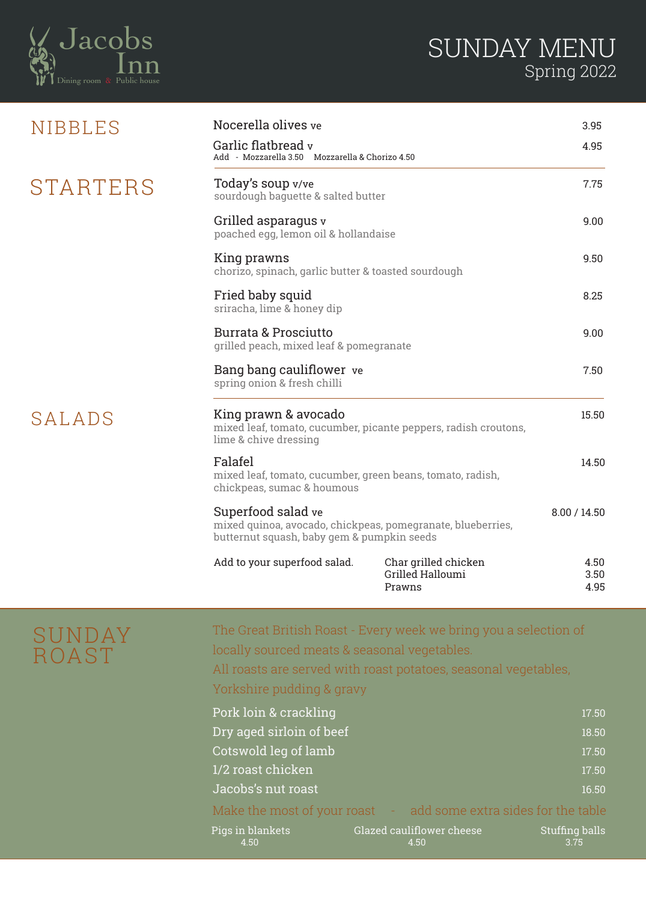

| NIBBLES  | Nocerella olives ve                                                                                                             |                                                    | 3.95                 |
|----------|---------------------------------------------------------------------------------------------------------------------------------|----------------------------------------------------|----------------------|
|          | Garlic flatbread v<br>Add - Mozzarella 3.50 Mozzarella & Chorizo 4.50                                                           | 4.95                                               |                      |
| STARTERS | Today's soup v/ve<br>sourdough baguette & salted butter                                                                         | 7.75                                               |                      |
|          | Grilled asparagus v<br>poached egg, lemon oil & hollandaise                                                                     | 9.00                                               |                      |
|          | King prawns<br>chorizo, spinach, garlic butter & toasted sourdough                                                              | 9.50                                               |                      |
|          | Fried baby squid<br>sriracha, lime & honey dip                                                                                  | 8.25                                               |                      |
|          | <b>Burrata &amp; Prosciutto</b><br>grilled peach, mixed leaf & pomegranate                                                      |                                                    | 9.00                 |
|          | Bang bang cauliflower ve<br>spring onion & fresh chilli                                                                         |                                                    | 7.50                 |
| SALADS   | King prawn & avocado<br>mixed leaf, tomato, cucumber, picante peppers, radish croutons,<br>lime & chive dressing                |                                                    | 15.50                |
|          | Falafel<br>mixed leaf, tomato, cucumber, green beans, tomato, radish,<br>chickpeas, sumac & houmous                             |                                                    | 14.50                |
|          | Superfood salad ve<br>mixed quinoa, avocado, chickpeas, pomegranate, blueberries,<br>butternut squash, baby gem & pumpkin seeds |                                                    | 8.00 / 14.50         |
|          | Add to your superfood salad.                                                                                                    | Char grilled chicken<br>Grilled Halloumi<br>Prawns | 4.50<br>3.50<br>4.95 |

## SUNDAY ROAST

The Great British Roast - Every week we bring you a selection of locally sourced meats & seasonal vegetables.

All roasts are served with roast potatoes, seasonal vegetables, Yorkshire pudding & gravy

| Pork loin & crackling    |                                                                  | 17.50                         |
|--------------------------|------------------------------------------------------------------|-------------------------------|
| Dry aged sirloin of beef |                                                                  | 18.50                         |
| Cotswold leg of lamb     |                                                                  | 17.50                         |
| 1/2 roast chicken        |                                                                  | 17.50                         |
| Jacobs's nut roast       |                                                                  | 16.50                         |
|                          | Make the most of your roast - add some extra sides for the table |                               |
| Pigs in blankets<br>4.50 | Glazed cauliflower cheese<br>4.50                                | <b>Stuffing balls</b><br>3.75 |